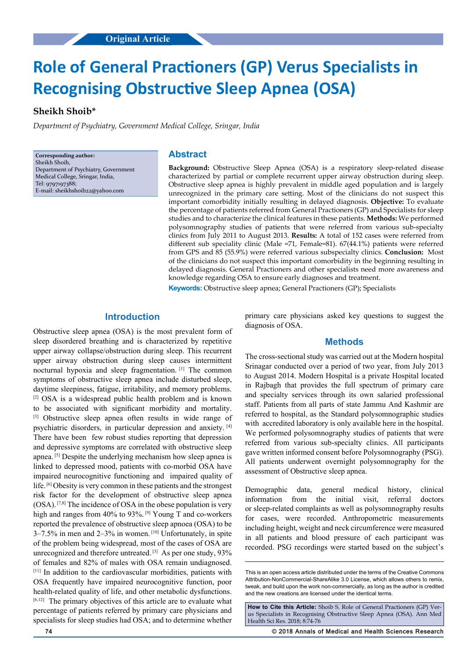# **Role of General Practioners (GP) Verus Specialists in Recognising Obstructive Sleep Apnea (OSA)**

## **Sheikh Shoib\***

*Department of Psychiatry, Government Medical College, Sringar, India*

**Corresponding author:** Sheikh Shoib, Department of Psychiatry, Government Medical College, Sringar, India, Tel: 9797197388; E-mail: sheikhshoib22@yahoo.com

## **Abstract**

**Background:** Obstructive Sleep Apnea (OSA) is a respiratory sleep-related disease characterized by partial or complete recurrent upper airway obstruction during sleep. Obstructive sleep apnea is highly prevalent in middle aged population and is largely unrecognized in the primary care setting. Most of the clinicians do not suspect this important comorbidity initially resulting in delayed diagnosis. **Objective:** To evaluate the percentage of patients referred from General Practioners (GP) and Specialists for sleep studies and to characterize the clinical features in these patients. **Methods:** We performed polysomnography studies of patients that were referred from various sub-specialty clinics from July 2011 to August 2013. **Results:** A total of 152 cases were referred from different sub speciality clinic (Male =71, Female=81). 67(44.1%) patients were referred from GPS and 85 (55.9%) were referred various subspecialty clinics. **Conclusion:** Most of the clinicians do not suspect this important comorbidity in the beginning resulting in delayed diagnosis. General Practioners and other specialists need more awareness and knowledge regarding OSA to ensure early diagnoses and treatment.

**Keywords:** Obstructive sleep apnea; General Practioners (GP); Specialists

## **Introduction**

Obstructive sleep apnea (OSA) is the most prevalent form of sleep disordered breathing and is characterized by repetitive upper airway collapse/obstruction during sleep. This recurrent upper airway obstruction during sleep causes intermittent nocturnal hypoxia and sleep fragmentation. [1] The common symptoms of obstructive sleep apnea include disturbed sleep, daytime sleepiness, fatigue, irritability, and memory problems. [2] OSA is a widespread public health problem and is known to be associated with significant morbidity and mortality. [3] Obstructive sleep apnea often results in wide range of psychiatric disorders, in particular depression and anxiety. [4] There have been few robust studies reporting that depression and depressive symptoms are correlated with obstructive sleep apnea. [5] Despite the underlying mechanism how sleep apnea is linked to depressed mood, patients with co-morbid OSA have impaired neurocognitive functioning and impaired quality of life. [6] Obesity is very common in these patients and the strongest risk factor for the development of obstructive sleep apnea  $(OSA)$ . [7,8] The incidence of OSA in the obese population is very high and ranges from 40% to 93%. <sup>[9]</sup> Young T and co-workers reported the prevalence of obstructive sleep apnoea (OSA) to be  $3-7.5\%$  in men and  $2-3\%$  in women. <sup>[10]</sup> Unfortunately, in spite of the problem being widespread, most of the cases of OSA are unrecognized and therefore untreated. <sup>[3]</sup> As per one study, 93% of females and 82% of males with OSA remain undiagnosed. [11] In addition to the cardiovascular morbidities, patients with OSA frequently have impaired neurocognitive function, poor health-related quality of life, and other metabolic dysfunctions. [6,12] The primary objectives of this article are to evaluate what percentage of patients referred by primary care physicians and specialists for sleep studies had OSA; and to determine whether primary care physicians asked key questions to suggest the diagnosis of OSA.

#### **Methods**

The cross-sectional study was carried out at the Modern hospital Srinagar conducted over a period of two year, from July 2013 to August 2014. Modern Hospital is a private Hospital located in Rajbagh that provides the full spectrum of primary care and specialty services through its own salaried professional staff. Patients from all parts of state Jammu And Kashmir are referred to hospital, as the Standard polysomnographic studies with accredited laboratory is only available here in the hospital. We performed polysomnography studies of patients that were referred from various sub-specialty clinics. All participants gave written informed consent before Polysomnography (PSG). All patients underwent overnight polysomnography for the assessment of Obstructive sleep apnea.

Demographic data, general medical history, clinical information from the initial visit, referral doctors or sleep-related complaints as well as polysomnography results for cases, were recorded. Anthropometric measurements including height, weight and neck circumference were measured in all patients and blood pressure of each participant was recorded. PSG recordings were started based on the subject's

**74 © 2018 Annals of Medical and Health Sciences Research** 

This is an open access article distributed under the terms of the Creative Commons Attribution-NonCommercial-ShareAlike 3.0 License, which allows others to remix, tweak, and build upon the work non‑commercially, as long as the author is credited and the new creations are licensed under the identical terms.

**How to Cite this Article:** Shoib S. Role of General Practioners (GP) Verus Specialists in Recognising Obstructive Sleep Apnea (OSA). Ann Med Health Sci Res. 2018; 8:74-76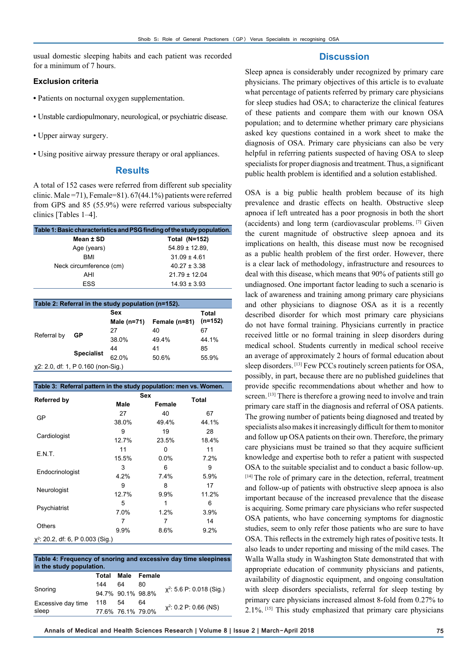usual domestic sleeping habits and each patient was recorded for a minimum of 7 hours.

#### **Exclusion criteria**

- Patients on nocturnal oxygen supplementation.
- Unstable cardiopulmonary, neurological, or psychiatric disease.
- Upper airway surgery.
- Using positive airway pressure therapy or oral appliances.

#### **Results**

A total of 152 cases were referred from different sub speciality clinic. Male =71), Female=81).  $67(44.1\%)$  patients were referred from GPS and 85 (55.9%) were referred various subspecialty clinics [Tables 1–4].

| Table 1: Basic characteristics and PSG finding of the study population. |                   |  |  |
|-------------------------------------------------------------------------|-------------------|--|--|
| Mean ± SD                                                               | Total (N=152)     |  |  |
| Age (years)                                                             | $54.89 \pm 12.89$ |  |  |
| <b>BMI</b>                                                              | $31.09 \pm 4.61$  |  |  |
| Neck circumference (cm)                                                 | $40.27 \pm 3.38$  |  |  |
| AHI                                                                     | $21.79 \pm 12.04$ |  |  |
| <b>ESS</b>                                                              | $14.93 \pm 3.93$  |  |  |

| Table 2: Referral in the study population (n=152). |                                 |                      |               |                    |
|----------------------------------------------------|---------------------------------|----------------------|---------------|--------------------|
|                                                    |                                 | Sex<br>Male $(n=71)$ | Female (n=81) | Total<br>$(n=152)$ |
| Referral by                                        | GР                              | 27                   | 40            | 67                 |
|                                                    | <b>Specialist</b>               | 38.0%<br>44          | 49.4%<br>41   | 44.1%<br>85        |
|                                                    |                                 | 62.0%                | 50.6%         | 55.9%              |
|                                                    | $v2:20$ df: 1 P 0 160 (non-Sig) |                      |               |                    |

χ2: 2.0, df: 1, P 0.160 (non-Sig.)

| Table 3: Referral pattern in the study population: men vs. Women. |              |               |       |  |
|-------------------------------------------------------------------|--------------|---------------|-------|--|
|                                                                   | Sex          | <b>Total</b>  |       |  |
| <b>Referred by</b>                                                | Male         | <b>Female</b> |       |  |
| GP                                                                | 27           | 40            | 67    |  |
|                                                                   | 38.0%        | 49.4%         | 44.1% |  |
|                                                                   | 9            | 19            | 28    |  |
| Cardiologist                                                      | 12.7%        | 23.5%         | 18.4% |  |
|                                                                   | 11           | 0             | 11    |  |
| E.N.T.                                                            | 15.5%        | $0.0\%$       | 7.2%  |  |
|                                                                   | 3            | 6             | 9     |  |
| Endocrinologist                                                   | 4.2%         | 7.4%          | 5.9%  |  |
|                                                                   | 9            | 8             | 17    |  |
| Neurologist                                                       | 12.7%        | 9.9%          | 11.2% |  |
|                                                                   | 5            | 1             | 6     |  |
| Psychiatrist                                                      | 7.0%         | 1.2%          | 3.9%  |  |
|                                                                   | 7            | 7             | 14    |  |
| <b>Others</b>                                                     | 9.9%<br>8.6% |               | 9.2%  |  |
| $\chi^2$ : 20.2, df: 6, P 0.003 (Sig.)                            |              |               |       |  |

| in the study population. |  | Table 4: Frequency of snoring and excessive day time sleepiness |
|--------------------------|--|-----------------------------------------------------------------|
|                          |  | Total Male Female                                               |
|                          |  |                                                                 |

| Snoring                     | 144 | 64<br>94.7% 90.1% 98.8% | 80 | $x^2$ : 5.6 P: 0.018 (Sig.) |
|-----------------------------|-----|-------------------------|----|-----------------------------|
| Excessive day time<br>sleep | 118 | 54<br>77.6% 76.1% 79.0% | 64 | $x^2$ : 0.2 P: 0.66 (NS)    |

## **Discussion**

Sleep apnea is considerably under recognized by primary care physicians. The primary objectives of this article is to evaluate what percentage of patients referred by primary care physicians for sleep studies had OSA; to characterize the clinical features of these patients and compare them with our known OSA population; and to determine whether primary care physicians asked key questions contained in a work sheet to make the diagnosis of OSA. Primary care physicians can also be very helpful in referring patients suspected of having OSA to sleep specialists for proper diagnosis and treatment. Thus, a significant public health problem is identified and a solution established.

OSA is a big public health problem because of its high prevalence and drastic effects on health. Obstructive sleep apnoea if left untreated has a poor prognosis in both the short (accidents) and long term (cardiovascular problems. [7] Given the curent magnitude of obstructive sleep apnoea and its implications on health, this disease must now be recognised as a public health problem of the first order. However, there is a clear lack of methodology, infrastructure and resources to deal with this disease, which means that 90% of patients still go undiagnosed. One important factor leading to such a scenario is lack of awareness and training among primary care physicians and other physicians to diagnose OSA as it is a recently described disorder for which most primary care physicians do not have formal training. Physicians currently in practice received little or no formal training in sleep disorders during medical school. Students currently in medical school receive an average of approximately 2 hours of formal education about sleep disorders. [13] Few PCCs routinely screen patients for OSA, possibly, in part, because there are no published guidelines that provide specific recommendations about whether and how to screen. [13] There is therefore a growing need to involve and train primary care staff in the diagnosis and referral of OSA patients. The growing number of patients being diagnosed and treated by specialists also makes it increasingly difficult for them to monitor and follow up OSA patients on their own. Therefore, the primary care physicians must be trained so that they acquire sufficient knowledge and expertise both to refer a patient with suspected OSA to the suitable specialist and to conduct a basic follow-up. [14] The role of primary care in the detection, referral, treatment and follow-up of patients with obstructive sleep apnoea is also important because of the increased prevalence that the disease is acquiring. Some primary care physicians who refer suspected OSA patients, who have concerning symptoms for diagnostic studies, seem to only refer those patients who are sure to have OSA. This reflects in the extremely high rates of positive tests. It also leads to under reporting and missing of the mild cases. The Walla Walla study in Washington State demonstrated that with appropriate education of community physicians and patients, availability of diagnostic equipment, and ongoing consultation with sleep disorders specialists, referral for sleep testing by primary care physicians increased almost 8-fold from 0.27% to 2.1%. [15] This study emphasized that primary care physicians